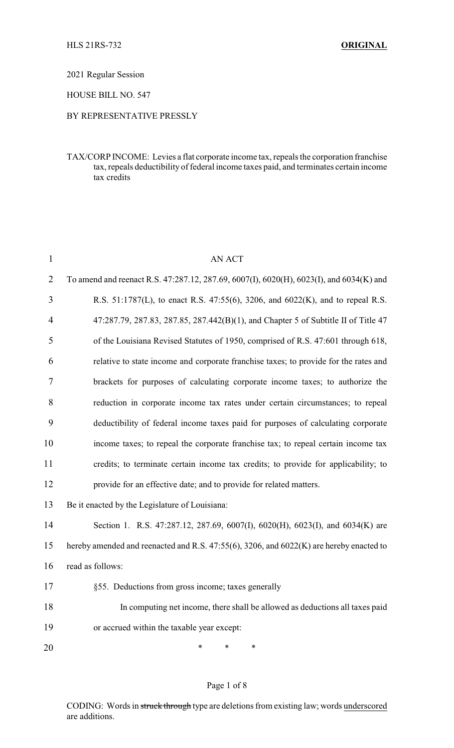#### 2021 Regular Session

HOUSE BILL NO. 547

# BY REPRESENTATIVE PRESSLY

## TAX/CORP INCOME: Levies a flat corporate income tax, repeals the corporation franchise tax, repeals deductibility of federal income taxes paid, and terminates certain income tax credits

| $\mathbf{1}$   | <b>AN ACT</b>                                                                           |
|----------------|-----------------------------------------------------------------------------------------|
| $\overline{2}$ | To amend and reenact R.S. 47:287.12, 287.69, 6007(I), 6020(H), 6023(I), and 6034(K) and |
| 3              | R.S. 51:1787(L), to enact R.S. 47:55(6), 3206, and 6022(K), and to repeal R.S.          |
| 4              | 47:287.79, 287.83, 287.85, 287.442(B)(1), and Chapter 5 of Subtitle II of Title 47      |
| 5              | of the Louisiana Revised Statutes of 1950, comprised of R.S. 47:601 through 618,        |
| 6              | relative to state income and corporate franchise taxes; to provide for the rates and    |
| 7              | brackets for purposes of calculating corporate income taxes; to authorize the           |
| 8              | reduction in corporate income tax rates under certain circumstances; to repeal          |
| 9              | deductibility of federal income taxes paid for purposes of calculating corporate        |
| 10             | income taxes; to repeal the corporate franchise tax; to repeal certain income tax       |
| 11             | credits; to terminate certain income tax credits; to provide for applicability; to      |
| 12             | provide for an effective date; and to provide for related matters.                      |
| 13             | Be it enacted by the Legislature of Louisiana:                                          |
| 14             | Section 1. R.S. 47:287.12, 287.69, 6007(I), 6020(H), 6023(I), and 6034(K) are           |
| 15             | hereby amended and reenacted and R.S. 47:55(6), 3206, and 6022(K) are hereby enacted to |
| 16             | read as follows:                                                                        |
| 17             | §55. Deductions from gross income; taxes generally                                      |
| 18             | In computing net income, there shall be allowed as deductions all taxes paid            |
| 19             | or accrued within the taxable year except:                                              |
| 20             | ∗<br>∗<br>*                                                                             |

### Page 1 of 8

CODING: Words in struck through type are deletions from existing law; words underscored are additions.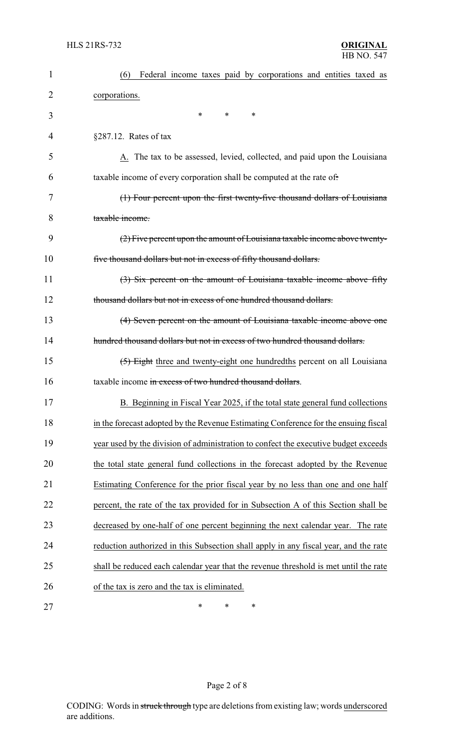| 1  | Federal income taxes paid by corporations and entities taxed as<br>(6)               |
|----|--------------------------------------------------------------------------------------|
| 2  | corporations.                                                                        |
| 3  | *<br>*<br>*                                                                          |
| 4  | $\S 287.12$ . Rates of tax                                                           |
| 5  | A. The tax to be assessed, levied, collected, and paid upon the Louisiana            |
| 6  | taxable income of every corporation shall be computed at the rate of.                |
| 7  | (1) Four percent upon the first twenty-five thousand dollars of Louisiana            |
| 8  | taxable income.                                                                      |
| 9  | (2) Five percent upon the amount of Louisiana taxable income above twenty-           |
| 10 | five thousand dollars but not in excess of fifty thousand dollars.                   |
| 11 | (3) Six percent on the amount of Louisiana taxable income above fifty                |
| 12 | thousand dollars but not in excess of one hundred thousand dollars.                  |
| 13 | (4) Seven percent on the amount of Louisiana taxable income above one                |
| 14 | hundred thousand dollars but not in excess of two hundred thousand dollars.          |
| 15 | (5) Eight three and twenty-eight one hundredths percent on all Louisiana             |
| 16 | taxable income in excess of two hundred thousand dollars.                            |
| 17 | B. Beginning in Fiscal Year 2025, if the total state general fund collections        |
| 18 | in the forecast adopted by the Revenue Estimating Conference for the ensuing fiscal  |
| 19 | year used by the division of administration to confect the executive budget exceeds  |
| 20 | the total state general fund collections in the forecast adopted by the Revenue      |
| 21 | Estimating Conference for the prior fiscal year by no less than one and one half     |
| 22 | percent, the rate of the tax provided for in Subsection A of this Section shall be   |
| 23 | decreased by one-half of one percent beginning the next calendar year. The rate      |
| 24 | reduction authorized in this Subsection shall apply in any fiscal year, and the rate |
| 25 | shall be reduced each calendar year that the revenue threshold is met until the rate |
| 26 | of the tax is zero and the tax is eliminated.                                        |
| 27 | $\ast$<br>∗<br>∗                                                                     |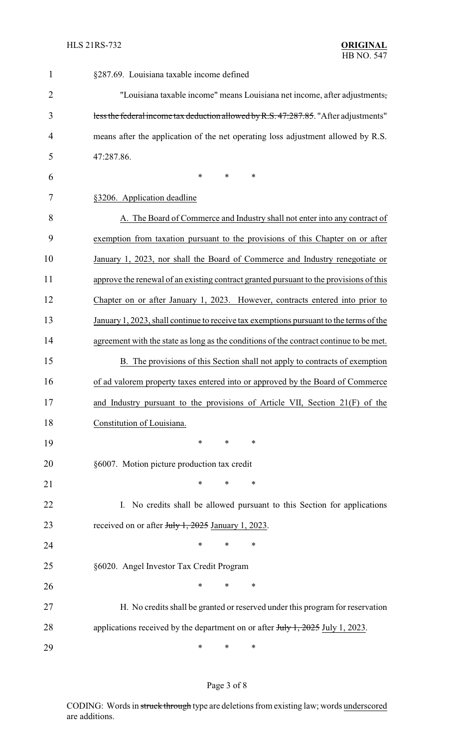| $\mathbf{1}$   | §287.69. Louisiana taxable income defined                                              |  |  |  |
|----------------|----------------------------------------------------------------------------------------|--|--|--|
| $\overline{2}$ | "Louisiana taxable income" means Louisiana net income, after adjustments,              |  |  |  |
| 3              | less the federal income tax deduction allowed by R.S. 47:287.85. "After adjustments"   |  |  |  |
| 4              | means after the application of the net operating loss adjustment allowed by R.S.       |  |  |  |
| 5              | 47:287.86.                                                                             |  |  |  |
| 6              | *<br>*<br>*                                                                            |  |  |  |
| 7              | §3206. Application deadline                                                            |  |  |  |
| 8              | A. The Board of Commerce and Industry shall not enter into any contract of             |  |  |  |
| 9              | exemption from taxation pursuant to the provisions of this Chapter on or after         |  |  |  |
| 10             | January 1, 2023, nor shall the Board of Commerce and Industry renegotiate or           |  |  |  |
| 11             | approve the renewal of an existing contract granted pursuant to the provisions of this |  |  |  |
| 12             | Chapter on or after January 1, 2023. However, contracts entered into prior to          |  |  |  |
| 13             | January 1, 2023, shall continue to receive tax exemptions pursuant to the terms of the |  |  |  |
| 14             | agreement with the state as long as the conditions of the contract continue to be met. |  |  |  |
| 15             | B. The provisions of this Section shall not apply to contracts of exemption            |  |  |  |
| 16             | of ad valorem property taxes entered into or approved by the Board of Commerce         |  |  |  |
| 17             | and Industry pursuant to the provisions of Article VII, Section 21(F) of the           |  |  |  |
| 18             | Constitution of Louisiana.                                                             |  |  |  |
| 19             | $\ast$<br>∗<br>∗                                                                       |  |  |  |
| 20             | §6007. Motion picture production tax credit                                            |  |  |  |
| 21             | *<br>∗<br>∗                                                                            |  |  |  |
| 22             | I. No credits shall be allowed pursuant to this Section for applications               |  |  |  |
| 23             | received on or after July 1, 2025 January 1, 2023.                                     |  |  |  |
| 24             | *<br>∗<br>∗                                                                            |  |  |  |
| 25             | §6020. Angel Investor Tax Credit Program                                               |  |  |  |
| 26             | *<br>$\ast$<br>*                                                                       |  |  |  |
| 27             | H. No credits shall be granted or reserved under this program for reservation          |  |  |  |
| 28             | applications received by the department on or after $July 1, 2025$ July 1, 2023.       |  |  |  |
| 29             | ∗<br>∗<br>∗                                                                            |  |  |  |

# Page 3 of 8

CODING: Words in struck through type are deletions from existing law; words underscored are additions.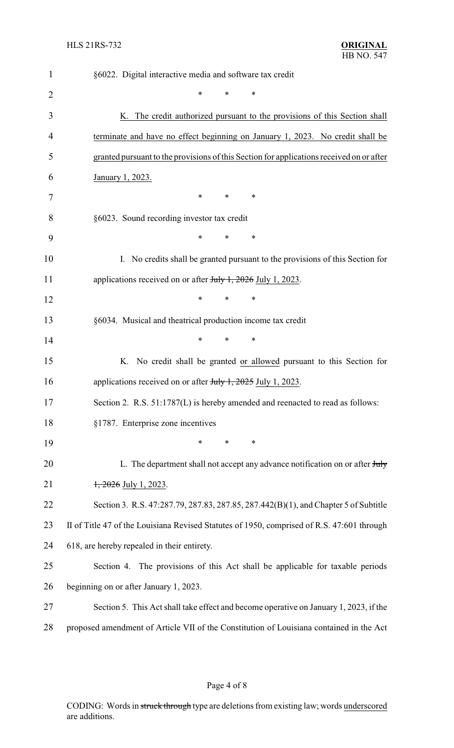| $\mathbf{1}$   | §6022. Digital interactive media and software tax credit                                   |  |  |
|----------------|--------------------------------------------------------------------------------------------|--|--|
| $\overline{2}$ | *<br>∗                                                                                     |  |  |
| 3              | K. The credit authorized pursuant to the provisions of this Section shall                  |  |  |
| 4              | terminate and have no effect beginning on January 1, 2023. No credit shall be              |  |  |
| 5              | granted pursuant to the provisions of this Section for applications received on or after   |  |  |
| 6              | January 1, 2023.                                                                           |  |  |
| 7              | *<br>*<br>∗                                                                                |  |  |
| 8              | §6023. Sound recording investor tax credit                                                 |  |  |
| 9              | *<br>$\ast$<br>$\ast$                                                                      |  |  |
| 10             | I. No credits shall be granted pursuant to the provisions of this Section for              |  |  |
| 11             | applications received on or after $J_{\text{t}}/J_{\text{t}}$ , 2026 July 1, 2023.         |  |  |
| 12             | *<br>$\ast$<br>∗                                                                           |  |  |
| 13             | §6034. Musical and theatrical production income tax credit                                 |  |  |
| 14             | ∗<br>*<br>∗                                                                                |  |  |
| 15             | K. No credit shall be granted or allowed pursuant to this Section for                      |  |  |
| 16             | applications received on or after $J_{\text{t}}/J_{\text{t}}$ , 2025 July 1, 2023.         |  |  |
| 17             | Section 2. R.S. 51:1787(L) is hereby amended and reenacted to read as follows:             |  |  |
| 18             | §1787. Enterprise zone incentives                                                          |  |  |
| 19             | *<br>*<br>$\ast$                                                                           |  |  |
| 20             | L. The department shall not accept any advance notification on or after July               |  |  |
| 21             | $\frac{1}{2026}$ July 1, 2023.                                                             |  |  |
| 22             | Section 3. R.S. 47:287.79, 287.83, 287.85, 287.442(B)(1), and Chapter 5 of Subtitle        |  |  |
| 23             | II of Title 47 of the Louisiana Revised Statutes of 1950, comprised of R.S. 47:601 through |  |  |
| 24             | 618, are hereby repealed in their entirety.                                                |  |  |
| 25             | Section 4. The provisions of this Act shall be applicable for taxable periods              |  |  |
| 26             | beginning on or after January 1, 2023.                                                     |  |  |
| 27             | Section 5. This Act shall take effect and become operative on January 1, 2023, if the      |  |  |
| 28             | proposed amendment of Article VII of the Constitution of Louisiana contained in the Act    |  |  |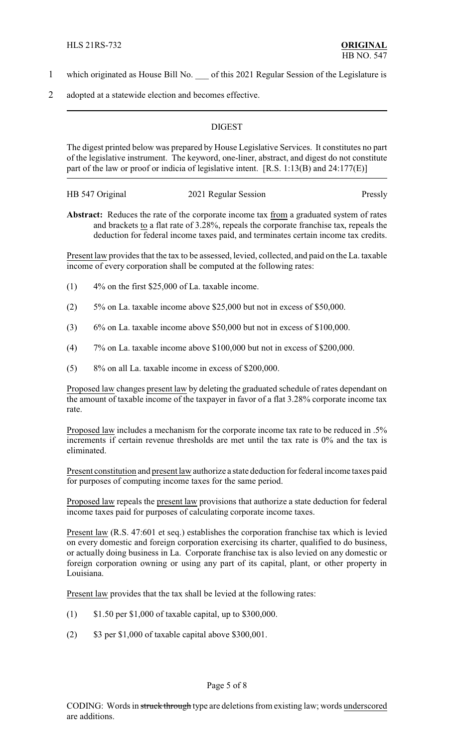- 1 which originated as House Bill No. of this 2021 Regular Session of the Legislature is
- 2 adopted at a statewide election and becomes effective.

### **DIGEST**

The digest printed below was prepared by House Legislative Services. It constitutes no part of the legislative instrument. The keyword, one-liner, abstract, and digest do not constitute part of the law or proof or indicia of legislative intent. [R.S. 1:13(B) and 24:177(E)]

| HB 547 Original | 2021 Regular Session | Pressly |
|-----------------|----------------------|---------|
|                 |                      |         |

Abstract: Reduces the rate of the corporate income tax from a graduated system of rates and brackets  $\frac{10}{2}$  a flat rate of 3.28%, repeals the corporate franchise tax, repeals the deduction for federal income taxes paid, and terminates certain income tax credits.

Present law provides that the tax to be assessed, levied, collected, and paid on the La. taxable income of every corporation shall be computed at the following rates:

- (1) 4% on the first \$25,000 of La. taxable income.
- (2) 5% on La. taxable income above \$25,000 but not in excess of \$50,000.
- (3) 6% on La. taxable income above \$50,000 but not in excess of \$100,000.
- (4) 7% on La. taxable income above \$100,000 but not in excess of \$200,000.
- (5) 8% on all La. taxable income in excess of \$200,000.

Proposed law changes present law by deleting the graduated schedule of rates dependant on the amount of taxable income of the taxpayer in favor of a flat 3.28% corporate income tax rate.

Proposed law includes a mechanism for the corporate income tax rate to be reduced in .5% increments if certain revenue thresholds are met until the tax rate is 0% and the tax is eliminated.

Present constitution and present law authorize a state deduction for federal income taxes paid for purposes of computing income taxes for the same period.

Proposed law repeals the present law provisions that authorize a state deduction for federal income taxes paid for purposes of calculating corporate income taxes.

Present law (R.S. 47:601 et seq.) establishes the corporation franchise tax which is levied on every domestic and foreign corporation exercising its charter, qualified to do business, or actually doing business in La. Corporate franchise tax is also levied on any domestic or foreign corporation owning or using any part of its capital, plant, or other property in Louisiana.

Present law provides that the tax shall be levied at the following rates:

- (1) \$1.50 per \$1,000 of taxable capital, up to \$300,000.
- $(2)$  \$3 per \$1,000 of taxable capital above \$300,001.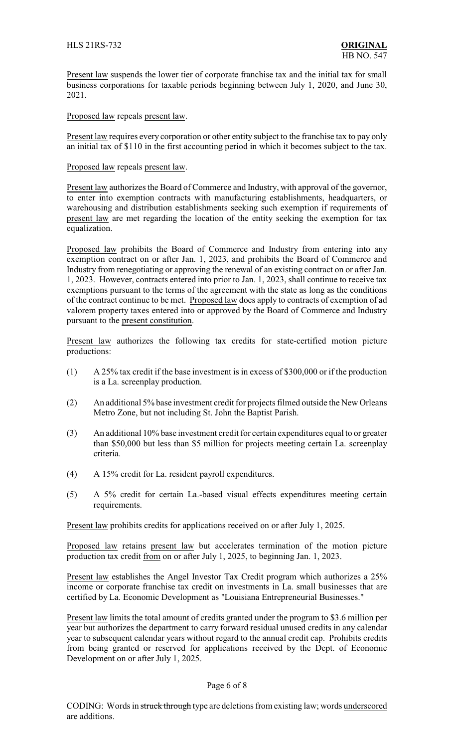Present law suspends the lower tier of corporate franchise tax and the initial tax for small business corporations for taxable periods beginning between July 1, 2020, and June 30, 2021.

Proposed law repeals present law.

Present law requires every corporation or other entity subject to the franchise tax to pay only an initial tax of \$110 in the first accounting period in which it becomes subject to the tax.

Proposed law repeals present law.

Present law authorizes the Board of Commerce and Industry, with approval of the governor, to enter into exemption contracts with manufacturing establishments, headquarters, or warehousing and distribution establishments seeking such exemption if requirements of present law are met regarding the location of the entity seeking the exemption for tax equalization.

Proposed law prohibits the Board of Commerce and Industry from entering into any exemption contract on or after Jan. 1, 2023, and prohibits the Board of Commerce and Industry from renegotiating or approving the renewal of an existing contract on or after Jan. 1, 2023. However, contracts entered into prior to Jan. 1, 2023, shall continue to receive tax exemptions pursuant to the terms of the agreement with the state as long as the conditions of the contract continue to be met. Proposed law does apply to contracts of exemption of ad valorem property taxes entered into or approved by the Board of Commerce and Industry pursuant to the present constitution.

Present law authorizes the following tax credits for state-certified motion picture productions:

- (1) A 25% tax credit if the base investment is in excess of \$300,000 or if the production is a La. screenplay production.
- (2) An additional 5% base investment credit for projects filmed outside the New Orleans Metro Zone, but not including St. John the Baptist Parish.
- (3) An additional 10% base investment credit for certain expenditures equal to or greater than \$50,000 but less than \$5 million for projects meeting certain La. screenplay criteria.
- (4) A 15% credit for La. resident payroll expenditures.
- (5) A 5% credit for certain La.-based visual effects expenditures meeting certain requirements.

Present law prohibits credits for applications received on or after July 1, 2025.

Proposed law retains present law but accelerates termination of the motion picture production tax credit from on or after July 1, 2025, to beginning Jan. 1, 2023.

Present law establishes the Angel Investor Tax Credit program which authorizes a 25% income or corporate franchise tax credit on investments in La. small businesses that are certified by La. Economic Development as "Louisiana Entrepreneurial Businesses."

Present law limits the total amount of credits granted under the program to \$3.6 million per year but authorizes the department to carry forward residual unused credits in any calendar year to subsequent calendar years without regard to the annual credit cap. Prohibits credits from being granted or reserved for applications received by the Dept. of Economic Development on or after July 1, 2025.

#### Page 6 of 8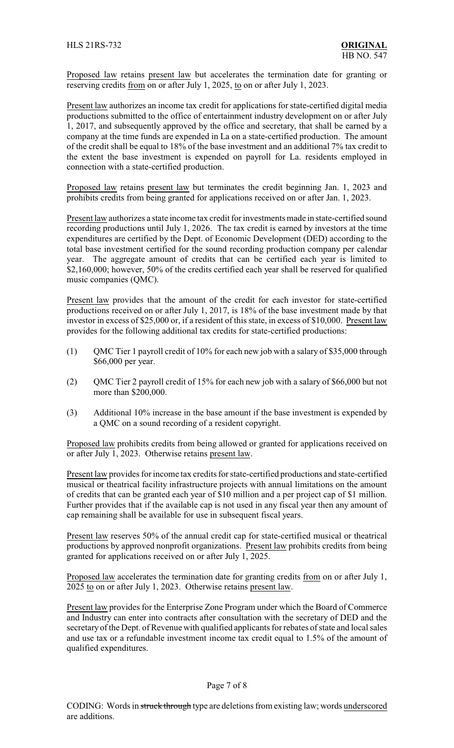Proposed law retains present law but accelerates the termination date for granting or reserving credits from on or after July 1, 2025, to on or after July 1, 2023.

Present law authorizes an income tax credit for applications for state-certified digital media productions submitted to the office of entertainment industry development on or after July 1, 2017, and subsequently approved by the office and secretary, that shall be earned by a company at the time funds are expended in La on a state-certified production. The amount of the credit shall be equal to 18% of the base investment and an additional 7% tax credit to the extent the base investment is expended on payroll for La. residents employed in connection with a state-certified production.

Proposed law retains present law but terminates the credit beginning Jan. 1, 2023 and prohibits credits from being granted for applications received on or after Jan. 1, 2023.

Present law authorizes a state income tax credit for investments made in state-certified sound recording productions until July 1, 2026. The tax credit is earned by investors at the time expenditures are certified by the Dept. of Economic Development (DED) according to the total base investment certified for the sound recording production company per calendar year. The aggregate amount of credits that can be certified each year is limited to \$2,160,000; however, 50% of the credits certified each year shall be reserved for qualified music companies (QMC).

Present law provides that the amount of the credit for each investor for state-certified productions received on or after July 1, 2017, is 18% of the base investment made by that investor in excess of \$25,000 or, if a resident of this state, in excess of \$10,000. Present law provides for the following additional tax credits for state-certified productions:

- (1) QMC Tier 1 payroll credit of 10% for each new job with a salary of \$35,000 through \$66,000 per year.
- (2) QMC Tier 2 payroll credit of 15% for each new job with a salary of \$66,000 but not more than \$200,000.
- (3) Additional 10% increase in the base amount if the base investment is expended by a QMC on a sound recording of a resident copyright.

Proposed law prohibits credits from being allowed or granted for applications received on or after July 1, 2023. Otherwise retains present law.

Present law provides for income tax credits for state-certified productions and state-certified musical or theatrical facility infrastructure projects with annual limitations on the amount of credits that can be granted each year of \$10 million and a per project cap of \$1 million. Further provides that if the available cap is not used in any fiscal year then any amount of cap remaining shall be available for use in subsequent fiscal years.

Present law reserves 50% of the annual credit cap for state-certified musical or theatrical productions by approved nonprofit organizations. Present law prohibits credits from being granted for applications received on or after July 1, 2025.

Proposed law accelerates the termination date for granting credits from on or after July 1, 2025 to on or after July 1, 2023. Otherwise retains present law.

Present law provides for the Enterprise Zone Program under which the Board of Commerce and Industry can enter into contracts after consultation with the secretary of DED and the secretaryof the Dept. of Revenue with qualified applicants for rebates of state and local sales and use tax or a refundable investment income tax credit equal to 1.5% of the amount of qualified expenditures.